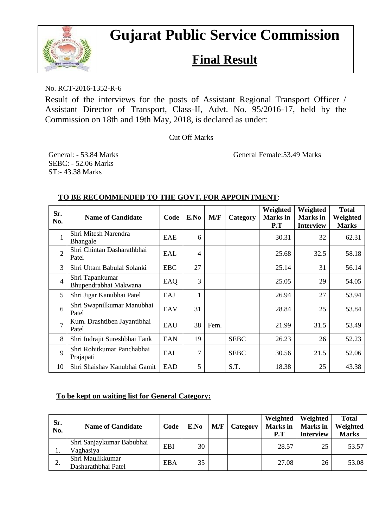

# **Gujarat Public Service Commission**

## **Final Result**

#### No. RCT-2016-1352-R-6

Result of the interviews for the posts of Assistant Regional Transport Officer / Assistant Director of Transport, Class-II, Advt. No. 95/2016-17, held by the Commission on 18th and 19th May, 2018, is declared as under:

Cut Off Marks

General: - 53.84 Marks General Female: 53.49 Marks

SEBC: - 52.06 Marks ST:- 43.38 Marks

| Sr.<br>No.     | <b>Name of Candidate</b>                 | Code       | E.No | M/F  | Category    | Weighted<br><b>Marks</b> in<br>P.T | Weighted<br><b>Marks</b> in<br><b>Interview</b> | <b>Total</b><br>Weighted<br><b>Marks</b> |
|----------------|------------------------------------------|------------|------|------|-------------|------------------------------------|-------------------------------------------------|------------------------------------------|
|                | Shri Mitesh Narendra<br>Bhangale         | EAE        | 6    |      |             | 30.31                              | 32                                              | 62.31                                    |
| $\overline{2}$ | Shri Chintan Dasharathbhai<br>Patel      | EAL        | 4    |      |             | 25.68                              | 32.5                                            | 58.18                                    |
| 3              | Shri Uttam Babulal Solanki               | <b>EBC</b> | 27   |      |             | 25.14                              | 31                                              | 56.14                                    |
| $\overline{4}$ | Shri Tapankumar<br>Bhupendrabhai Makwana | EAQ        | 3    |      |             | 25.05                              | 29                                              | 54.05                                    |
| 5              | Shri Jigar Kanubhai Patel                | EAJ        |      |      |             | 26.94                              | 27                                              | 53.94                                    |
| 6              | Shri Swapnilkumar Manubhai<br>Patel      | EAV        | 31   |      |             | 28.84                              | 25                                              | 53.84                                    |
| $\overline{7}$ | Kum. Drashtiben Jayantibhai<br>Patel     | EAU        | 38   | Fem. |             | 21.99                              | 31.5                                            | 53.49                                    |
| 8              | Shri Indrajit Sureshbhai Tank            | <b>EAN</b> | 19   |      | <b>SEBC</b> | 26.23                              | 26                                              | 52.23                                    |
| 9              | Shri Rohitkumar Panchabhai<br>Prajapati  | EAI        | 7    |      | <b>SEBC</b> | 30.56                              | 21.5                                            | 52.06                                    |
| 10             | Shri Shaishav Kanubhai Gamit             | <b>EAD</b> | 5    |      | S.T.        | 18.38                              | 25                                              | 43.38                                    |

#### **TO BE RECOMMENDED TO THE GOVT. FOR APPOINTMENT**:

#### **To be kept on waiting list for General Category:**

| Sr.<br>No. | <b>Name of Candidate</b>                | Code       | E.No | M/F | Category | Weighted<br><b>Marks</b> in<br>P.T | Weighted<br><b>Marks</b> in<br><b>Interview</b> | <b>Total</b><br>Weighted<br><b>Marks</b> |
|------------|-----------------------------------------|------------|------|-----|----------|------------------------------------|-------------------------------------------------|------------------------------------------|
| 1.         | Shri Sanjaykumar Babubhai<br>Vaghasiya  | EBI        | 30   |     |          | 28.57                              | 25                                              | 53.57                                    |
| ◠<br>۷.    | Shri Maulikkumar<br>Dasharathbhai Patel | <b>EBA</b> | 35   |     |          | 27.08                              | 26                                              | 53.08                                    |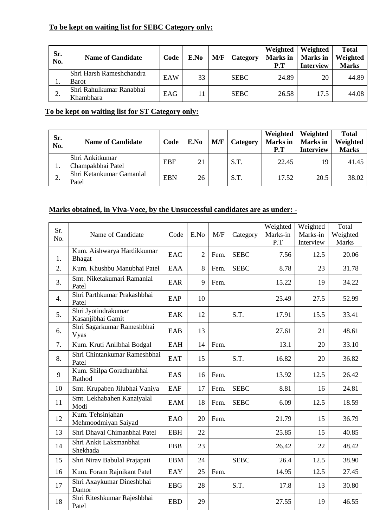### **To be kept on waiting list for SEBC Category only:**

| Sr.<br>No. | <b>Name of Candidate</b>              | Code | E.No         | M/F | Category    | Weighted<br><b>Marks</b> in<br>P.T | Weighted<br><b>Marks</b> in<br><b>Interview</b> | <b>Total</b><br>Weighted<br><b>Marks</b> |
|------------|---------------------------------------|------|--------------|-----|-------------|------------------------------------|-------------------------------------------------|------------------------------------------|
| ı.         | Shri Harsh Rameshchandra<br>Barot     | EAW  | 33           |     | <b>SEBC</b> | 24.89                              | 20                                              | 44.89                                    |
| ◠<br>۷.    | Shri Rahulkumar Ranabhai<br>Khambhara | EAG  | $\mathbf{1}$ |     | <b>SEBC</b> | 26.58                              | 17.5                                            | 44.08                                    |

#### **To be kept on waiting list for ST Category only:**

| Sr.<br>No. | <b>Name of Candidate</b>             | Code       | E.No | M/F | Category | Weighted<br><b>Marks</b> in<br>P.T | Weighted<br><b>Marks</b> in<br><b>Interview</b> | <b>Total</b><br>Weighted<br><b>Marks</b> |
|------------|--------------------------------------|------------|------|-----|----------|------------------------------------|-------------------------------------------------|------------------------------------------|
| ı.         | Shri Ankitkumar<br>Champakbhai Patel | <b>EBF</b> | 21   |     | S.T.     | 22.45                              | 19                                              | 41.45                                    |
| ۷.         | Shri Ketankumar Gamanlal<br>Patel    | <b>EBN</b> | 26   |     | S.T.     | 17.52                              | 20.5                                            | 38.02                                    |

#### **Marks obtained, in Viva-Voce, by the Unsuccessful candidates are as under: -**

| Sr.<br>No. | Name of Candidate                           | Code       | E.No           | M/F  | Category    | Weighted<br>Marks-in<br>P.T | Weighted<br>Marks-in<br>Interview | Total<br>Weighted<br><b>Marks</b> |
|------------|---------------------------------------------|------------|----------------|------|-------------|-----------------------------|-----------------------------------|-----------------------------------|
| 1.         | Kum. Aishwarya Hardikkumar<br><b>Bhagat</b> | <b>EAC</b> | $\overline{2}$ | Fem. | <b>SEBC</b> | 7.56                        | 12.5                              | 20.06                             |
| 2.         | Kum. Khushbu Manubhai Patel                 | <b>EAA</b> | 8              | Fem. | <b>SEBC</b> | 8.78                        | 23                                | 31.78                             |
| 3.         | Smt. Niketakumari Ramanlal<br>Patel         | EAR        | 9              | Fem. |             | 15.22                       | 19                                | 34.22                             |
| 4.         | Shri Parthkumar Prakashbhai<br>Patel        | EAP        | 10             |      |             | 25.49                       | 27.5                              | 52.99                             |
| 5.         | Shri Jyotindrakumar<br>Kasanjibhai Gamit    | <b>EAK</b> | 12             |      | S.T.        | 17.91                       | 15.5                              | 33.41                             |
| 6.         | Shri Sagarkumar Rameshbhai<br>Vyas          | EAB        | 13             |      |             | 27.61                       | 21                                | 48.61                             |
| 7.         | Kum. Kruti Anilbhai Bodgal                  | EAH        | 14             | Fem. |             | 13.1                        | 20                                | 33.10                             |
| 8.         | Shri Chintankumar Rameshbhai<br>Patel       | <b>EAT</b> | 15             |      | S.T.        | 16.82                       | 20                                | 36.82                             |
| 9          | Kum. Shilpa Goradhanbhai<br>Rathod          | EAS        | 16             | Fem. |             | 13.92                       | 12.5                              | 26.42                             |
| 10         | Smt. Krupaben Jilubhai Vaniya               | <b>EAF</b> | 17             | Fem. | <b>SEBC</b> | 8.81                        | 16                                | 24.81                             |
| 11         | Smt. Lekhabahen Kanaiyalal<br>Modi          | EAM        | 18             | Fem. | <b>SEBC</b> | 6.09                        | 12.5                              | 18.59                             |
| 12         | Kum. Tehsinjahan<br>Mehmoodmiyan Saiyad     | EAO        | 20             | Fem. |             | 21.79                       | 15                                | 36.79                             |
| 13         | Shri Dhaval Chimanbhai Patel                | <b>EBH</b> | 22             |      |             | 25.85                       | 15                                | 40.85                             |
| 14         | Shri Ankit Laksmanbhai<br>Shekhada          | <b>EBB</b> | 23             |      |             | 26.42                       | 22                                | 48.42                             |
| 15         | Shri Nirav Babulal Prajapati                | <b>EBM</b> | 24             |      | <b>SEBC</b> | 26.4                        | 12.5                              | 38.90                             |
| 16         | Kum. Foram Rajnikant Patel                  | EAY        | 25             | Fem. |             | 14.95                       | 12.5                              | 27.45                             |
| 17         | Shri Axaykumar Dineshbhai<br>Damor          | <b>EBG</b> | 28             |      | S.T.        | 17.8                        | 13                                | 30.80                             |
| 18         | Shri Riteshkumar Rajeshbhai<br>Patel        | <b>EBD</b> | 29             |      |             | 27.55                       | 19                                | 46.55                             |